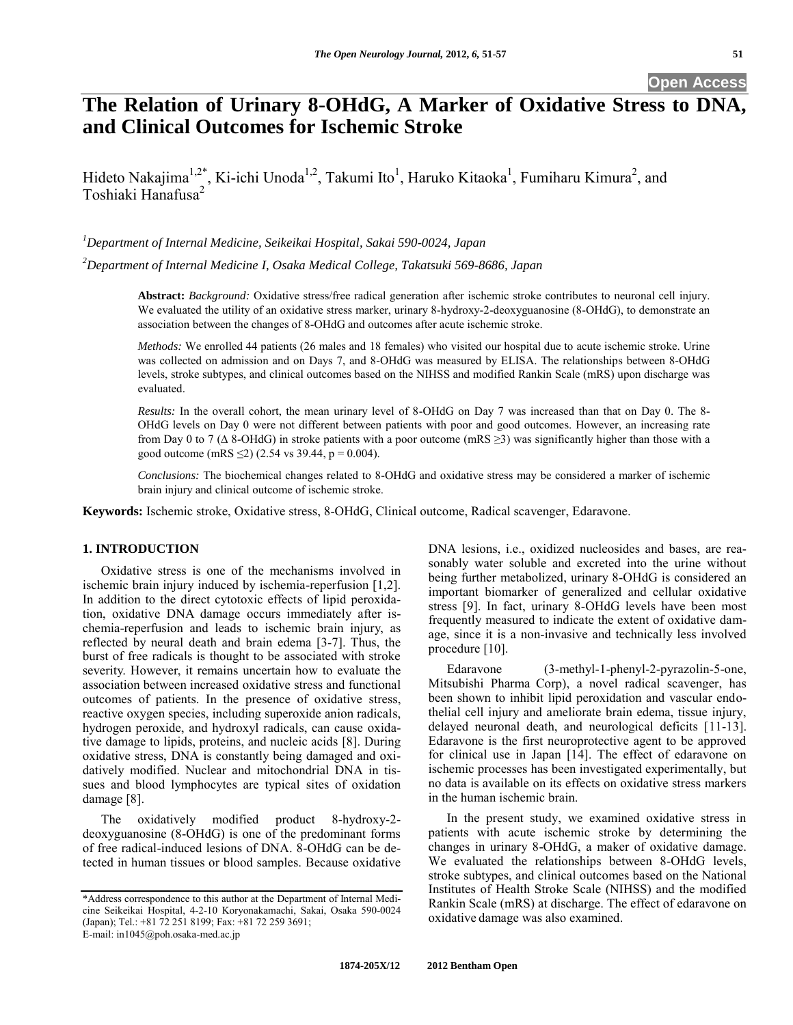**Open Access**

# **The Relation of Urinary 8-OHdG, A Marker of Oxidative Stress to DNA, and Clinical Outcomes for Ischemic Stroke**

Hideto Nakajima<sup>1,2\*</sup>, Ki-ichi Unoda<sup>1,2</sup>, Takumi Ito<sup>1</sup>, Haruko Kitaoka<sup>1</sup>, Fumiharu Kimura<sup>2</sup>, and Toshiaki Hanafusa<sup>2</sup>

*<sup>1</sup>Department of Internal Medicine, Seikeikai Hospital, Sakai 590-0024, Japan* 

*<sup>2</sup>Department of Internal Medicine I, Osaka Medical College, Takatsuki 569-8686, Japan*

**Abstract:** *Background:* Oxidative stress/free radical generation after ischemic stroke contributes to neuronal cell injury. We evaluated the utility of an oxidative stress marker, urinary 8-hydroxy-2-deoxyguanosine (8-OHdG), to demonstrate an association between the changes of 8-OHdG and outcomes after acute ischemic stroke.

*Methods:* We enrolled 44 patients (26 males and 18 females) who visited our hospital due to acute ischemic stroke. Urine was collected on admission and on Days 7, and 8-OHdG was measured by ELISA. The relationships between 8-OHdG levels, stroke subtypes, and clinical outcomes based on the NIHSS and modified Rankin Scale (mRS) upon discharge was evaluated.

*Results:* In the overall cohort, the mean urinary level of 8-OHdG on Day 7 was increased than that on Day 0. The 8- OHdG levels on Day 0 were not different between patients with poor and good outcomes. However, an increasing rate from Day 0 to 7 ( $\Delta$  8-OHdG) in stroke patients with a poor outcome (mRS  $\geq$ 3) was significantly higher than those with a good outcome (mRS  $\leq$ 2) (2.54 vs 39.44, p = 0.004).

*Conclusions:* The biochemical changes related to 8-OHdG and oxidative stress may be considered a marker of ischemic brain injury and clinical outcome of ischemic stroke.

**Keywords:** Ischemic stroke, Oxidative stress, 8-OHdG, Clinical outcome, Radical scavenger, Edaravone.

## **1. INTRODUCTION**

Oxidative stress is one of the mechanisms involved in ischemic brain injury induced by ischemia-reperfusion [1,2]. In addition to the direct cytotoxic effects of lipid peroxidation, oxidative DNA damage occurs immediately after ischemia-reperfusion and leads to ischemic brain injury, as reflected by neural death and brain edema [3-7]. Thus, the burst of free radicals is thought to be associated with stroke severity. However, it remains uncertain how to evaluate the association between increased oxidative stress and functional outcomes of patients. In the presence of oxidative stress, reactive oxygen species, including superoxide anion radicals, hydrogen peroxide, and hydroxyl radicals, can cause oxidative damage to lipids, proteins, and nucleic acids [8]. During oxidative stress, DNA is constantly being damaged and oxidatively modified. Nuclear and mitochondrial DNA in tissues and blood lymphocytes are typical sites of oxidation damage [8].

The oxidatively modified product 8-hydroxy-2 deoxyguanosine (8-OHdG) is one of the predominant forms of free radical-induced lesions of DNA. 8-OHdG can be detected in human tissues or blood samples. Because oxidative DNA lesions, i.e., oxidized nucleosides and bases, are reasonably water soluble and excreted into the urine without being further metabolized, urinary 8-OHdG is considered an important biomarker of generalized and cellular oxidative stress [9]. In fact, urinary 8-OHdG levels have been most frequently measured to indicate the extent of oxidative damage, since it is a non-invasive and technically less involved procedure [10].

Edaravone (3-methyl-1-phenyl-2-pyrazolin-5-one, Mitsubishi Pharma Corp), a novel radical scavenger, has been shown to inhibit lipid peroxidation and vascular endothelial cell injury and ameliorate brain edema, tissue injury, delayed neuronal death, and neurological deficits [11-13]. Edaravone is the first neuroprotective agent to be approved for clinical use in Japan [14]. The effect of edaravone on ischemic processes has been investigated experimentally, but no data is available on its effects on oxidative stress markers in the human ischemic brain.

In the present study, we examined oxidative stress in patients with acute ischemic stroke by determining the changes in urinary 8-OHdG, a maker of oxidative damage. We evaluated the relationships between 8-OHdG levels, stroke subtypes, and clinical outcomes based on the National Institutes of Health Stroke Scale (NIHSS) and the modified Rankin Scale (mRS) at discharge. The effect of edaravone on oxidative damage was also examined.

<sup>\*</sup>Address correspondence to this author at the Department of Internal Medicine Seikeikai Hospital, 4-2-10 Koryonakamachi, Sakai, Osaka 590-0024 (Japan); Tel.: +81 72 251 8199; Fax: +81 72 259 3691; E-mail: in1045@poh.osaka-med.ac.jp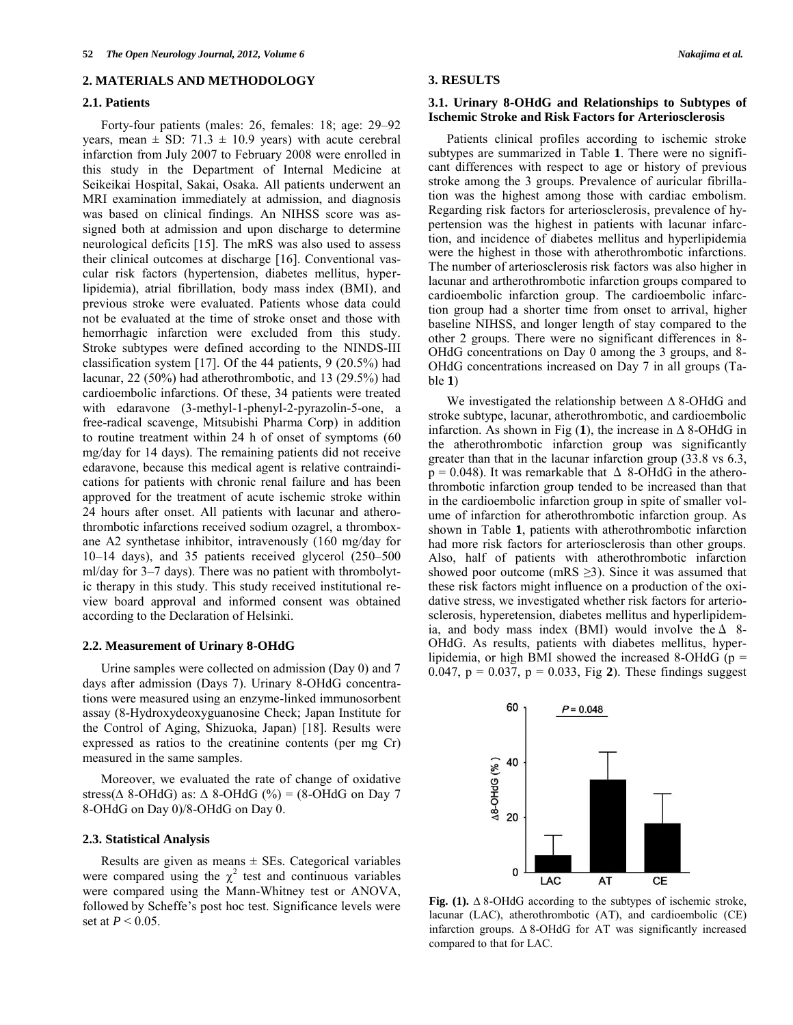## **2. MATERIALS AND METHODOLOGY**

#### **2.1. Patients**

Forty-four patients (males: 26, females: 18; age: 29–92 years, mean  $\pm$  SD: 71.3  $\pm$  10.9 years) with acute cerebral infarction from July 2007 to February 2008 were enrolled in this study in the Department of Internal Medicine at Seikeikai Hospital, Sakai, Osaka. All patients underwent an MRI examination immediately at admission, and diagnosis was based on clinical findings. An NIHSS score was assigned both at admission and upon discharge to determine neurological deficits [15]. The mRS was also used to assess their clinical outcomes at discharge [16]. Conventional vascular risk factors (hypertension, diabetes mellitus, hyperlipidemia), atrial fibrillation, body mass index (BMI), and previous stroke were evaluated. Patients whose data could not be evaluated at the time of stroke onset and those with hemorrhagic infarction were excluded from this study. Stroke subtypes were defined according to the NINDS-III classification system [17]. Of the 44 patients, 9 (20.5%) had lacunar, 22 (50%) had atherothrombotic, and 13 (29.5%) had cardioembolic infarctions. Of these, 34 patients were treated with edaravone (3-methyl-1-phenyl-2-pyrazolin-5-one, a free-radical scavenge, Mitsubishi Pharma Corp) in addition to routine treatment within 24 h of onset of symptoms (60 mg/day for 14 days). The remaining patients did not receive edaravone, because this medical agent is relative contraindications for patients with chronic renal failure and has been approved for the treatment of acute ischemic stroke within 24 hours after onset. All patients with lacunar and atherothrombotic infarctions received sodium ozagrel, a thromboxane A2 synthetase inhibitor, intravenously (160 mg/day for 10–14 days), and 35 patients received glycerol (250–500 ml/day for 3–7 days). There was no patient with thrombolytic therapy in this study. This study received institutional review board approval and informed consent was obtained according to the Declaration of Helsinki.

## **2.2. Measurement of Urinary 8-OHdG**

Urine samples were collected on admission (Day 0) and 7 days after admission (Days 7). Urinary 8-OHdG concentrations were measured using an enzyme-linked immunosorbent assay (8-Hydroxydeoxyguanosine Check; Japan Institute for the Control of Aging, Shizuoka, Japan) [18]. Results were expressed as ratios to the creatinine contents (per mg Cr) measured in the same samples.

Moreover, we evaluated the rate of change of oxidative stress( $\triangle$  8-OHdG) as:  $\triangle$  8-OHdG (%) = (8-OHdG on Day 7 8-OHdG on Day 0)/8-OHdG on Day 0.

#### **2.3. Statistical Analysis**

Results are given as means  $\pm$  SEs. Categorical variables were compared using the  $\chi^2$  test and continuous variables were compared using the Mann-Whitney test or ANOVA, followed by Scheffe's post hoc test. Significance levels were set at *P* < 0.05.

## **3. RESULTS**

## **3.1. Urinary 8-OHdG and Relationships to Subtypes of Ischemic Stroke and Risk Factors for Arteriosclerosis**

Patients clinical profiles according to ischemic stroke subtypes are summarized in Table **1**. There were no significant differences with respect to age or history of previous stroke among the 3 groups. Prevalence of auricular fibrillation was the highest among those with cardiac embolism. Regarding risk factors for arteriosclerosis, prevalence of hypertension was the highest in patients with lacunar infarction, and incidence of diabetes mellitus and hyperlipidemia were the highest in those with atherothrombotic infarctions. The number of arteriosclerosis risk factors was also higher in lacunar and artherothrombotic infarction groups compared to cardioembolic infarction group. The cardioembolic infarction group had a shorter time from onset to arrival, higher baseline NIHSS, and longer length of stay compared to the other 2 groups. There were no significant differences in 8- OHdG concentrations on Day 0 among the 3 groups, and 8- OHdG concentrations increased on Day 7 in all groups (Table **1**)

We investigated the relationship between  $\Delta$  8-OHdG and stroke subtype, lacunar, atherothrombotic, and cardioembolic infarction. As shown in Fig  $(1)$ , the increase in  $\triangle$  8-OHdG in the atherothrombotic infarction group was significantly greater than that in the lacunar infarction group (33.8 vs 6.3,  $p = 0.048$ ). It was remarkable that  $\Delta$  8-OHdG in the atherothrombotic infarction group tended to be increased than that in the cardioembolic infarction group in spite of smaller volume of infarction for atherothrombotic infarction group. As shown in Table **1**, patients with atherothrombotic infarction had more risk factors for arteriosclerosis than other groups. Also, half of patients with atherothrombotic infarction showed poor outcome (mRS  $\geq$ 3). Since it was assumed that these risk factors might influence on a production of the oxidative stress, we investigated whether risk factors for arteriosclerosis, hyperetension, diabetes mellitus and hyperlipidemia, and body mass index (BMI) would involve the  $\Delta$  8-OHdG. As results, patients with diabetes mellitus, hyperlipidemia, or high BMI showed the increased 8-OHdG ( $p =$ 0.047,  $p = 0.037$ ,  $p = 0.033$ , Fig 2). These findings suggest



Fig. (1).  $\Delta$  8-OHdG according to the subtypes of ischemic stroke, lacunar (LAC), atherothrombotic (AT), and cardioembolic (CE) infarction groups.  $\Delta$  8-OHdG for AT was significantly increased compared to that for LAC.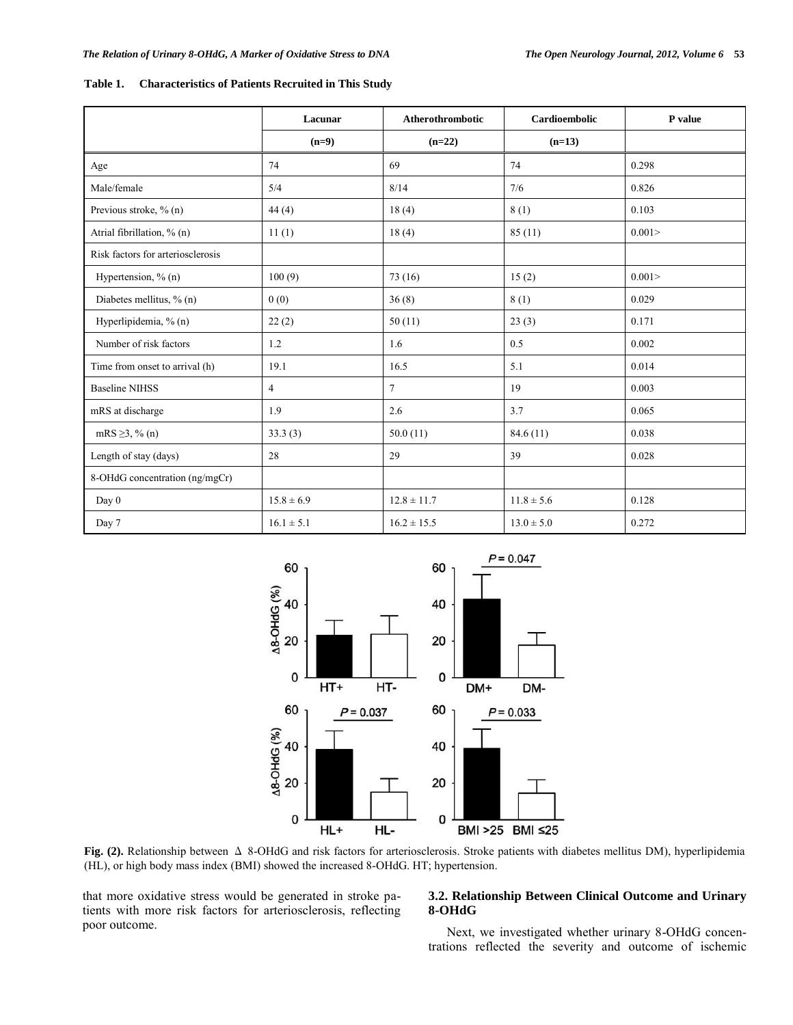|                                   | Lacunar        | Atherothrombotic | Cardioembolic  | P value |
|-----------------------------------|----------------|------------------|----------------|---------|
|                                   | $(n=9)$        | $(n=22)$         | $(n=13)$       |         |
| Age                               | 74             | 69               | 74             | 0.298   |
| Male/female                       | 5/4            | 8/14             | 7/6            | 0.826   |
| Previous stroke, % (n)            | 44(4)          | 18(4)            | 8(1)           | 0.103   |
| Atrial fibrillation, % (n)        | 11(1)          | 18(4)            | 85(11)         | 0.001   |
| Risk factors for arteriosclerosis |                |                  |                |         |
| Hypertension, $\%$ (n)            | 100(9)         | 73(16)           | 15(2)          | 0.001   |
| Diabetes mellitus, % (n)          | 0(0)           | 36(8)            | 8(1)           | 0.029   |
| Hyperlipidemia, % (n)             | 22(2)          | 50(11)           | 23(3)          | 0.171   |
| Number of risk factors            | 1.2            | 1.6              | 0.5            | 0.002   |
| Time from onset to arrival (h)    | 19.1           | 16.5             | 5.1            | 0.014   |
| <b>Baseline NIHSS</b>             | $\overline{4}$ | $\tau$           | 19             | 0.003   |
| mRS at discharge                  | 1.9            | 2.6              | 3.7            | 0.065   |
| $mRS \ge 3$ , % (n)               | 33.3(3)        | 50.0(11)         | 84.6(11)       | 0.038   |
| Length of stay (days)             | 28             | 29               | 39             | 0.028   |
| 8-OHdG concentration (ng/mgCr)    |                |                  |                |         |
| Day 0                             | $15.8 \pm 6.9$ | $12.8 \pm 11.7$  | $11.8 \pm 5.6$ | 0.128   |
| Day 7                             | $16.1 \pm 5.1$ | $16.2 \pm 15.5$  | $13.0 \pm 5.0$ | 0.272   |

**Table 1. Characteristics of Patients Recruited in This Study**



**Fig. (2).** Relationship between Δ 8-OHdG and risk factors for arteriosclerosis. Stroke patients with diabetes mellitus DM), hyperlipidemia (HL), or high body mass index (BMI) showed the increased 8-OHdG. HT; hypertension.

that more oxidative stress would be generated in stroke patients with more risk factors for arteriosclerosis, reflecting poor outcome.

# **3.2. Relationship Between Clinical Outcome and Urinary 8-OHdG**

Next, we investigated whether urinary 8-OHdG concentrations reflected the severity and outcome of ischemic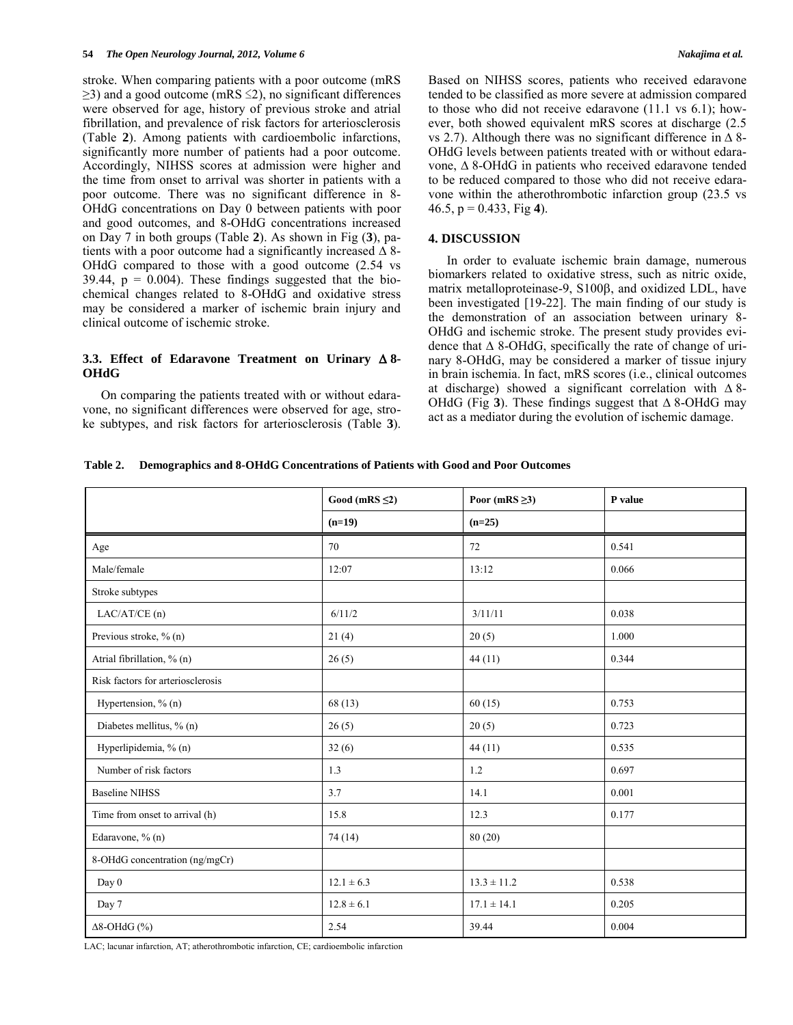stroke. When comparing patients with a poor outcome (mRS  $\geq$ 3) and a good outcome (mRS  $\leq$ 2), no significant differences were observed for age, history of previous stroke and atrial fibrillation, and prevalence of risk factors for arteriosclerosis (Table **2**). Among patients with cardioembolic infarctions, significantly more number of patients had a poor outcome. Accordingly, NIHSS scores at admission were higher and the time from onset to arrival was shorter in patients with a poor outcome. There was no significant difference in 8- OHdG concentrations on Day 0 between patients with poor and good outcomes, and 8-OHdG concentrations increased on Day 7 in both groups (Table **2**). As shown in Fig (**3**), patients with a poor outcome had a significantly increased  $\Delta$  8-OHdG compared to those with a good outcome (2.54 vs 39.44,  $p = 0.004$ ). These findings suggested that the biochemical changes related to 8-OHdG and oxidative stress may be considered a marker of ischemic brain injury and clinical outcome of ischemic stroke.

## **3.3. Effect of Edaravone Treatment on Urinary 8- OHdG**

On comparing the patients treated with or without edaravone, no significant differences were observed for age, stroke subtypes, and risk factors for arteriosclerosis (Table **3**). Based on NIHSS scores, patients who received edaravone tended to be classified as more severe at admission compared to those who did not receive edaravone (11.1 vs 6.1); however, both showed equivalent mRS scores at discharge (2.5 vs 2.7). Although there was no significant difference in  $\Delta$  8-OHdG levels between patients treated with or without edaravone,  $\Delta$  8-OHdG in patients who received edaravone tended to be reduced compared to those who did not receive edaravone within the atherothrombotic infarction group (23.5 vs 46.5, p = 0.433, Fig **4**).

## **4. DISCUSSION**

In order to evaluate ischemic brain damage, numerous biomarkers related to oxidative stress, such as nitric oxide, matrix metalloproteinase-9, S100ß, and oxidized LDL, have been investigated [19-22]. The main finding of our study is the demonstration of an association between urinary 8- OHdG and ischemic stroke. The present study provides evidence that  $\Delta$  8-OHdG, specifically the rate of change of urinary 8-OHdG, may be considered a marker of tissue injury in brain ischemia. In fact, mRS scores (i.e., clinical outcomes at discharge) showed a significant correlation with  $\Delta$ 8-OHdG (Fig 3). These findings suggest that  $\triangle$  8-OHdG may act as a mediator during the evolution of ischemic damage.

**Table 2. Demographics and 8-OHdG Concentrations of Patients with Good and Poor Outcomes**

|                                   | Good (mRS $\leq$ 2) | Poor (mRS $\geq$ 3) | P value |
|-----------------------------------|---------------------|---------------------|---------|
|                                   | $(n=19)$            | $(n=25)$            |         |
| Age                               | 70                  | 72                  | 0.541   |
| Male/female                       | 12:07               | 13:12               | 0.066   |
| Stroke subtypes                   |                     |                     |         |
| LAC/AT/CE(n)                      | 6/11/2              | 3/11/11             | 0.038   |
| Previous stroke, % (n)            | 21(4)               | 20(5)               | 1.000   |
| Atrial fibrillation, % (n)        | 26(5)               | 44(11)              | 0.344   |
| Risk factors for arteriosclerosis |                     |                     |         |
| Hypertension, % (n)               | 68(13)              | 60(15)              | 0.753   |
| Diabetes mellitus, % (n)          | 26(5)               | 20(5)               | 0.723   |
| Hyperlipidemia, % (n)             | 32(6)               | 44(11)              | 0.535   |
| Number of risk factors            | 1.3                 | 1.2                 | 0.697   |
| <b>Baseline NIHSS</b>             | 3.7                 | 14.1                | 0.001   |
| Time from onset to arrival (h)    | 15.8                | 12.3                | 0.177   |
| Edaravone, % (n)                  | 74 (14)             | 80(20)              |         |
| 8-OHdG concentration (ng/mgCr)    |                     |                     |         |
| Day 0                             | $12.1 \pm 6.3$      | $13.3 \pm 11.2$     | 0.538   |
| Day 7                             | $12.8 \pm 6.1$      | $17.1 \pm 14.1$     | 0.205   |
| $\Delta 8$ -OHdG $(\%)$           | 2.54                | 39.44               | 0.004   |

LAC; lacunar infarction, AT; atherothrombotic infarction, CE; cardioembolic infarction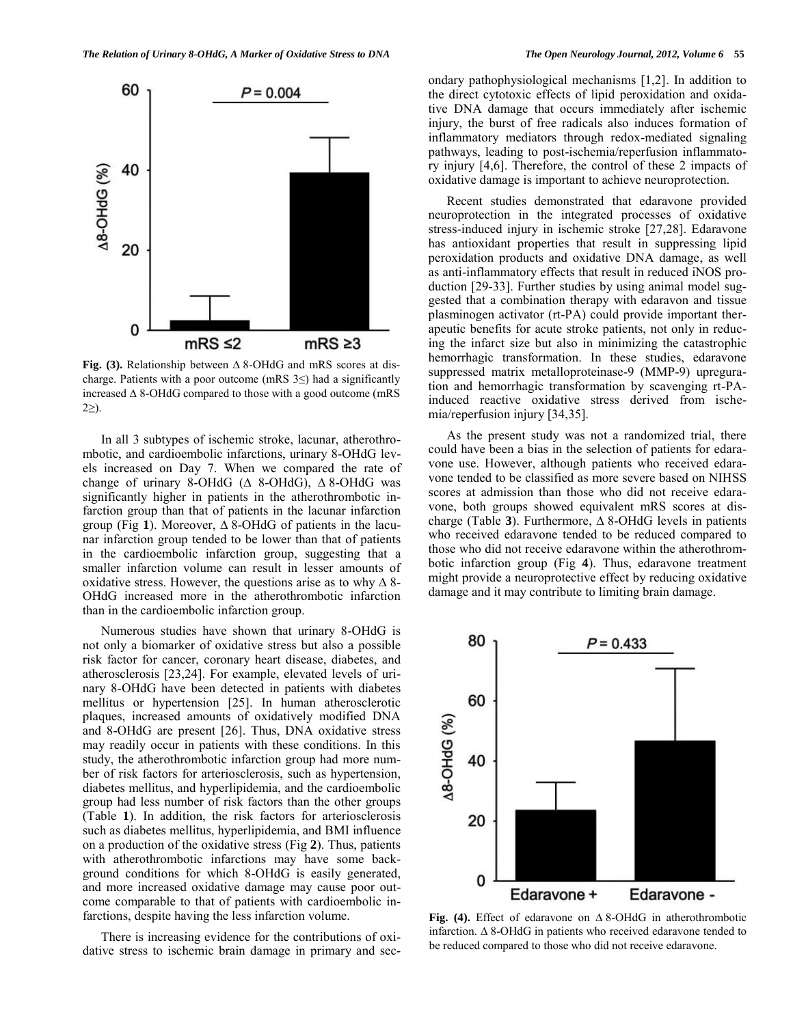

**Fig.** (3). Relationship between  $\triangle$  8-OHdG and mRS scores at discharge. Patients with a poor outcome (mRS  $3 \leq$ ) had a significantly increased  $\triangle$  8-OHdG compared to those with a good outcome (mRS  $2\geq$ ).

In all 3 subtypes of ischemic stroke, lacunar, atherothrombotic, and cardioembolic infarctions, urinary 8-OHdG levels increased on Day 7. When we compared the rate of change of urinary 8-OHdG ( $\triangle$  8-OHdG),  $\triangle$  8-OHdG was significantly higher in patients in the atherothrombotic infarction group than that of patients in the lacunar infarction group (Fig 1). Moreover,  $\Delta$  8-OHdG of patients in the lacunar infarction group tended to be lower than that of patients in the cardioembolic infarction group, suggesting that a smaller infarction volume can result in lesser amounts of oxidative stress. However, the questions arise as to why  $\Delta$  8-OHdG increased more in the atherothrombotic infarction than in the cardioembolic infarction group.

Numerous studies have shown that urinary 8-OHdG is not only a biomarker of oxidative stress but also a possible risk factor for cancer, coronary heart disease, diabetes, and atherosclerosis [23,24]. For example, elevated levels of urinary 8-OHdG have been detected in patients with diabetes mellitus or hypertension [25]. In human atherosclerotic plaques, increased amounts of oxidatively modified DNA and 8-OHdG are present [26]. Thus, DNA oxidative stress may readily occur in patients with these conditions. In this study, the atherothrombotic infarction group had more number of risk factors for arteriosclerosis, such as hypertension, diabetes mellitus, and hyperlipidemia, and the cardioembolic group had less number of risk factors than the other groups (Table **1**). In addition, the risk factors for arteriosclerosis such as diabetes mellitus, hyperlipidemia, and BMI influence on a production of the oxidative stress (Fig **2**). Thus, patients with atherothrombotic infarctions may have some background conditions for which 8-OHdG is easily generated, and more increased oxidative damage may cause poor outcome comparable to that of patients with cardioembolic infarctions, despite having the less infarction volume.

There is increasing evidence for the contributions of oxidative stress to ischemic brain damage in primary and secondary pathophysiological mechanisms [1,2]. In addition to the direct cytotoxic effects of lipid peroxidation and oxidative DNA damage that occurs immediately after ischemic injury, the burst of free radicals also induces formation of inflammatory mediators through redox-mediated signaling pathways, leading to post-ischemia/reperfusion inflammatory injury [4,6]. Therefore, the control of these 2 impacts of oxidative damage is important to achieve neuroprotection.

Recent studies demonstrated that edaravone provided neuroprotection in the integrated processes of oxidative stress-induced injury in ischemic stroke [27,28]. Edaravone has antioxidant properties that result in suppressing lipid peroxidation products and oxidative DNA damage, as well as anti-inflammatory effects that result in reduced iNOS production [29-33]. Further studies by using animal model suggested that a combination therapy with edaravon and tissue plasminogen activator (rt-PA) could provide important therapeutic benefits for acute stroke patients, not only in reducing the infarct size but also in minimizing the catastrophic hemorrhagic transformation. In these studies, edaravone suppressed matrix metalloproteinase-9 (MMP-9) upreguration and hemorrhagic transformation by scavenging rt-PAinduced reactive oxidative stress derived from ischemia/reperfusion injury [34,35].

As the present study was not a randomized trial, there could have been a bias in the selection of patients for edaravone use. However, although patients who received edaravone tended to be classified as more severe based on NIHSS scores at admission than those who did not receive edaravone, both groups showed equivalent mRS scores at discharge (Table 3). Furthermore,  $\triangle$  8-OHdG levels in patients who received edaravone tended to be reduced compared to those who did not receive edaravone within the atherothrombotic infarction group (Fig **4**). Thus, edaravone treatment might provide a neuroprotective effect by reducing oxidative damage and it may contribute to limiting brain damage.



Fig. (4). Effect of edaravone on  $\triangle$  8-OHdG in atherothrombotic infarction.  $\Delta$  8-OHdG in patients who received edaravone tended to be reduced compared to those who did not receive edaravone.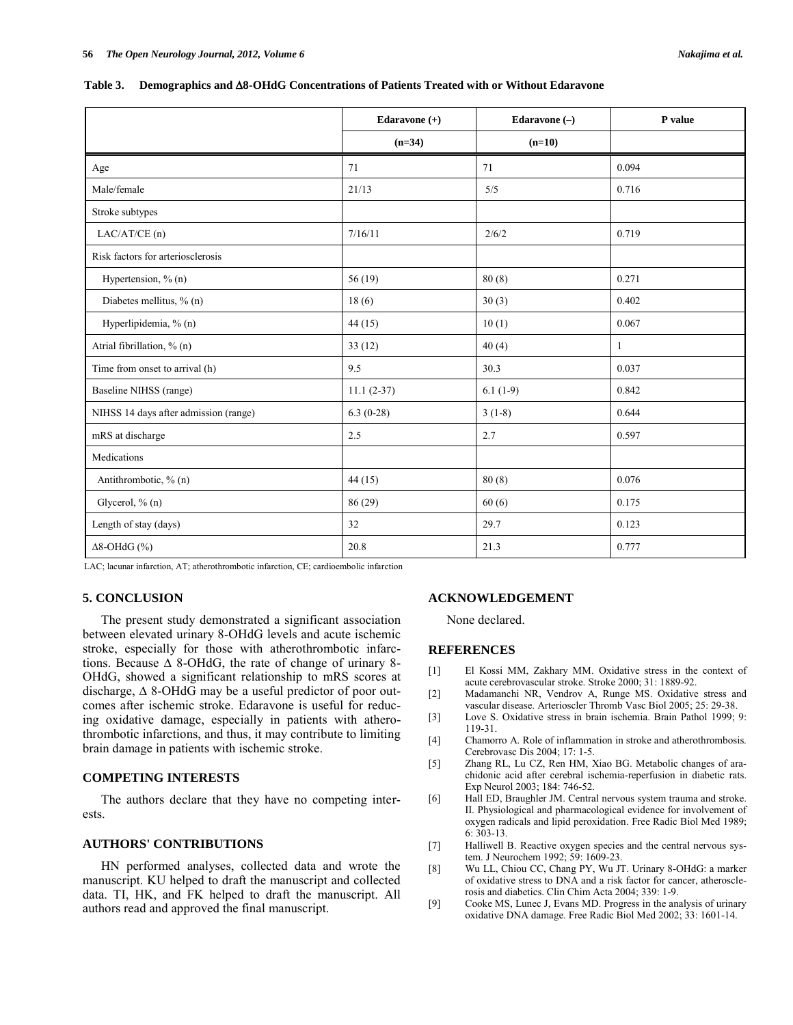|  | Table 3. Demographics and $\Delta 8$ -OHdG Concentrations of Patients Treated with or Without Edaravone |  |  |  |  |  |  |  |
|--|---------------------------------------------------------------------------------------------------------|--|--|--|--|--|--|--|
|--|---------------------------------------------------------------------------------------------------------|--|--|--|--|--|--|--|

|                                       | Edaravone (+) | Edaravone $(-)$ | P value      |  |
|---------------------------------------|---------------|-----------------|--------------|--|
|                                       | $(n=34)$      | $(n=10)$        |              |  |
| Age                                   | 71            | 71              | 0.094        |  |
| Male/female                           | 21/13         | 5/5             | 0.716        |  |
| Stroke subtypes                       |               |                 |              |  |
| LAC/AT/CE (n)                         | 7/16/11       | 2/6/2           | 0.719        |  |
| Risk factors for arteriosclerosis     |               |                 |              |  |
| Hypertension, % (n)                   | 56(19)        | 80(8)           | 0.271        |  |
| Diabetes mellitus, % (n)              | 18(6)         | 30(3)           | 0.402        |  |
| Hyperlipidemia, % (n)                 | 44(15)        | 10(1)           | 0.067        |  |
| Atrial fibrillation, % (n)            | 33(12)        | 40(4)           | $\mathbf{1}$ |  |
| Time from onset to arrival (h)        | 9.5           | 30.3            | 0.037        |  |
| Baseline NIHSS (range)                | $11.1(2-37)$  | $6.1(1-9)$      | 0.842        |  |
| NIHSS 14 days after admission (range) | $6.3(0-28)$   | $3(1-8)$        | 0.644        |  |
| mRS at discharge                      | 2.5           | 2.7             | 0.597        |  |
| Medications                           |               |                 |              |  |
| Antithrombotic, % (n)                 | 44(15)        | 80(8)           | 0.076        |  |
| Glycerol, % (n)                       | 86 (29)       | 60(6)           | 0.175        |  |
| Length of stay (days)                 | 32            | 29.7            | 0.123        |  |
| $\Delta 8$ -OHdG $(\%)$               | 20.8          | 21.3            | 0.777        |  |

LAC; lacunar infarction, AT; atherothrombotic infarction, CE; cardioembolic infarction

### **5. CONCLUSION**

The present study demonstrated a significant association between elevated urinary 8-OHdG levels and acute ischemic stroke, especially for those with atherothrombotic infarctions. Because  $\triangle$  8-OHdG, the rate of change of urinary 8-OHdG, showed a significant relationship to mRS scores at discharge,  $\triangle$  8-OHdG may be a useful predictor of poor outcomes after ischemic stroke. Edaravone is useful for reducing oxidative damage, especially in patients with atherothrombotic infarctions, and thus, it may contribute to limiting brain damage in patients with ischemic stroke.

## **COMPETING INTERESTS**

The authors declare that they have no competing interests.

## **AUTHORS' CONTRIBUTIONS**

HN performed analyses, collected data and wrote the manuscript. KU helped to draft the manuscript and collected data. TI, HK, and FK helped to draft the manuscript. All authors read and approved the final manuscript.

## **ACKNOWLEDGEMENT**

None declared.

## **REFERENCES**

- [1] El Kossi MM, Zakhary MM. Oxidative stress in the context of acute cerebrovascular stroke. Stroke 2000; 31: 1889-92.
- [2] Madamanchi NR, Vendrov A, Runge MS. Oxidative stress and vascular disease. Arterioscler Thromb Vasc Biol 2005; 25: 29-38.
- [3] Love S. Oxidative stress in brain ischemia. Brain Pathol 1999; 9: 119-31.
- [4] Chamorro A. Role of inflammation in stroke and atherothrombosis. Cerebrovasc Dis 2004; 17: 1-5.
- [5] Zhang RL, Lu CZ, Ren HM, Xiao BG. Metabolic changes of arachidonic acid after cerebral ischemia-reperfusion in diabetic rats. Exp Neurol 2003; 184: 746-52.
- [6] Hall ED, Braughler JM. Central nervous system trauma and stroke. II. Physiological and pharmacological evidence for involvement of oxygen radicals and lipid peroxidation. Free Radic Biol Med 1989; 6: 303-13.
- [7] Halliwell B. Reactive oxygen species and the central nervous system. J Neurochem 1992; 59: 1609-23.
- [8] Wu LL, Chiou CC, Chang PY, Wu JT. Urinary 8-OHdG: a marker of oxidative stress to DNA and a risk factor for cancer, atherosclerosis and diabetics. Clin Chim Acta 2004; 339: 1-9.
- [9] Cooke MS, Lunec J, Evans MD. Progress in the analysis of urinary oxidative DNA damage. Free Radic Biol Med 2002; 33: 1601-14.